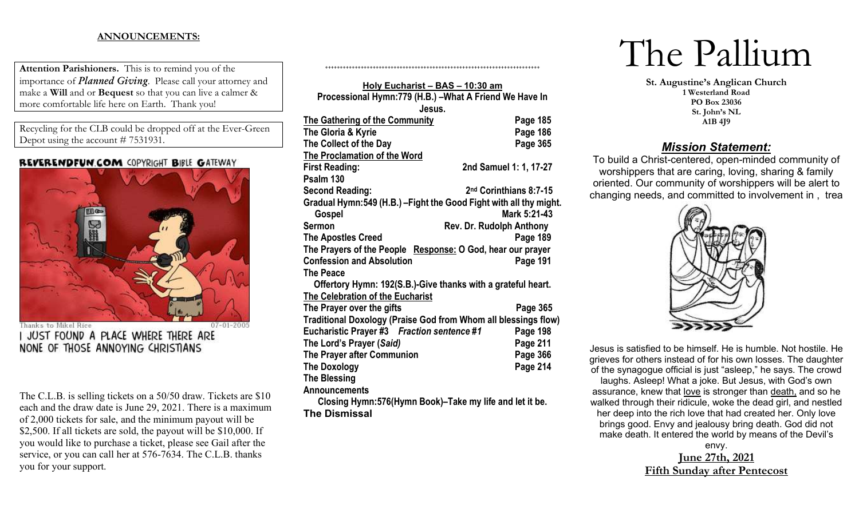## **ANNOUNCEMENTS:**

**Attention Parishioners.** This is to remind you of the importance of *Planned Giving*. Please call your attorney and make a **Will** and or **Bequest** so that you can live a calmer & more comfortable life here on Earth. Thank you!

Recycling for the CLB could be dropped off at the Ever-Green Depot using the account # 7531931.

## REVERENDFUN.COM COPYRIGHT BIBLE GATEWAY



Thanks to Mikel Rice  $07 - 01 - 200$ JUST FOUND A PLACE WHERE THERE ARE NONE OF THOSE ANNOYING CHRISTIANS

The C.L.B. is selling tickets on a 50/50 draw. Tickets are \$10 each and the draw date is June 29, 2021. There is a maximum of 2,000 tickets for sale, and the minimum payout will be \$2,500. If all tickets are sold, the payout will be \$10,000. If you would like to purchase a ticket, please see Gail after the service, or you can call her at 576-7634. The C.L.B. thanks you for your support.

| Holy Eucharist - BAS - 10:30 am                                    |                          |
|--------------------------------------------------------------------|--------------------------|
| Processional Hymn:779 (H.B.) - What A Friend We Have In            |                          |
| Jesus.                                                             |                          |
| The Gathering of the Community                                     | Page 185                 |
| The Gloria & Kyrie                                                 | Page 186                 |
| The Collect of the Day                                             | Page 365                 |
| <b>The Proclamation of the Word</b>                                |                          |
| <b>First Reading:</b>                                              | 2nd Samuel 1: 1, 17-27   |
| Psalm 130                                                          |                          |
| <b>Second Reading:</b>                                             | 2nd Corinthians 8:7-15   |
| Gradual Hymn:549 (H.B.) - Fight the Good Fight with all thy might. |                          |
| Gospel                                                             | Mark 5:21-43             |
| Sermon                                                             | Rev. Dr. Rudolph Anthony |
| <b>The Apostles Creed</b>                                          | Page 189                 |
| The Prayers of the People Response: O God, hear our prayer         |                          |
| <b>Confession and Absolution</b>                                   | Page 191                 |
| <b>The Peace</b>                                                   |                          |
| Offertory Hymn: 192(S.B.)-Give thanks with a grateful heart.       |                          |
| <b>The Celebration of the Eucharist</b>                            |                          |
| The Prayer over the gifts                                          | Page 365                 |
| Traditional Doxology (Praise God from Whom all blessings flow)     |                          |
| Eucharistic Prayer #3 Fraction sentence #1                         | Page 198                 |
| The Lord's Prayer (Said)                                           | Page 211                 |
| The Prayer after Communion                                         | Page 366                 |
| <b>The Doxology</b>                                                | Page 214                 |
| <b>The Blessing</b>                                                |                          |
| <b>Announcements</b>                                               |                          |
| Closing Hymn: 576 (Hymn Book)–Take my life and let it be.          |                          |
| <b>The Dismissal</b>                                               |                          |

++++++++++++++++++++++++++++++++++++++++++++++++++++++++++++++++++++++++

# The Pallium

**St. Augustine's Anglican Church 1 Westerland Road PO Box 23036 St. John's NL A1B 4J9**

## *Mission Statement:*

To build a Christ-centered, open-minded community of worshippers that are caring, loving, sharing & family oriented. Our community of worshippers will be alert to changing needs, and committed to involvement in , trea



Jesus is satisfied to be himself. He is humble. Not hostile. He grieves for others instead of for his own losses. The daughter of the synagogue official is just "asleep," he says. The crowd

laughs. Asleep! What a joke. But Jesus, with God's own assurance, knew that love is stronger than death, and so he walked through their ridicule, woke the dead girl, and nestled her deep into the rich love that had created her. Only love brings good. Envy and jealousy bring death. God did not make death. It entered the world by means of the Devil's

> envy. **June 27th, 2021 Fifth Sunday after Pentecost**